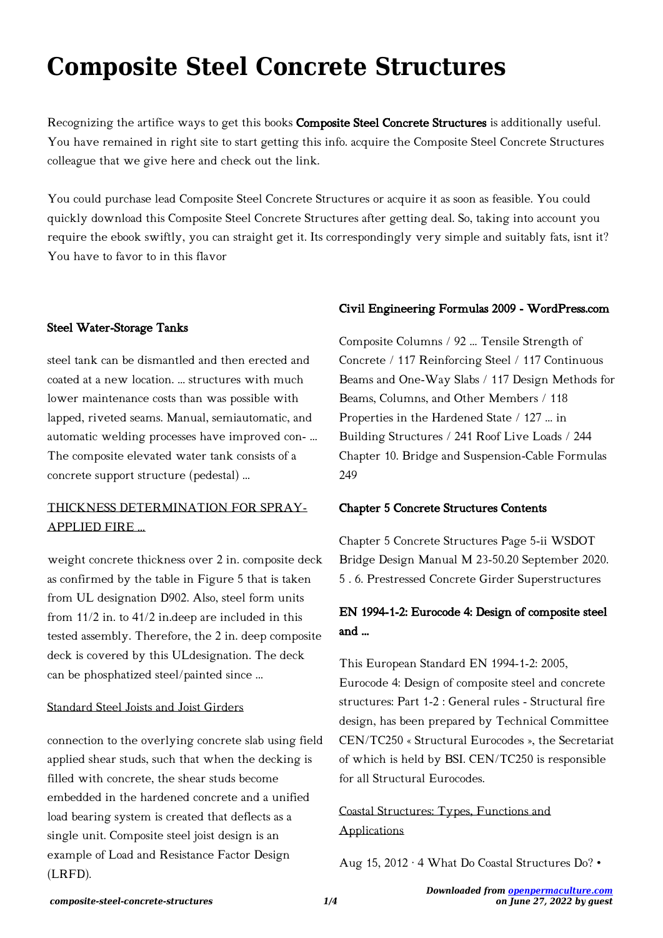# **Composite Steel Concrete Structures**

Recognizing the artifice ways to get this books Composite Steel Concrete Structures is additionally useful. You have remained in right site to start getting this info. acquire the Composite Steel Concrete Structures colleague that we give here and check out the link.

You could purchase lead Composite Steel Concrete Structures or acquire it as soon as feasible. You could quickly download this Composite Steel Concrete Structures after getting deal. So, taking into account you require the ebook swiftly, you can straight get it. Its correspondingly very simple and suitably fats, isnt it? You have to favor to in this flavor

### Steel Water-Storage Tanks

steel tank can be dismantled and then erected and coated at a new location. ... structures with much lower maintenance costs than was possible with lapped, riveted seams. Manual, semiautomatic, and automatic welding processes have improved con- ... The composite elevated water tank consists of a concrete support structure (pedestal) ...

## THICKNESS DETERMINATION FOR SPRAY-APPLIED FIRE …

weight concrete thickness over 2 in. composite deck as confirmed by the table in Figure 5 that is taken from UL designation D902. Also, steel form units from 11/2 in. to 41/2 in.deep are included in this tested assembly. Therefore, the 2 in. deep composite deck is covered by this ULdesignation. The deck can be phosphatized steel/painted since ...

#### Standard Steel Joists and Joist Girders

connection to the overlying concrete slab using field applied shear studs, such that when the decking is filled with concrete, the shear studs become embedded in the hardened concrete and a unified load bearing system is created that deflects as a single unit. Composite steel joist design is an example of Load and Resistance Factor Design (LRFD).

### Civil Engineering Formulas 2009 - WordPress.com

Composite Columns / 92 ... Tensile Strength of Concrete / 117 Reinforcing Steel / 117 Continuous Beams and One-Way Slabs / 117 Design Methods for Beams, Columns, and Other Members / 118 Properties in the Hardened State / 127 ... in Building Structures / 241 Roof Live Loads / 244 Chapter 10. Bridge and Suspension-Cable Formulas 249

#### Chapter 5 Concrete Structures Contents

Chapter 5 Concrete Structures Page 5-ii WSDOT Bridge Design Manual M 23-50.20 September 2020. 5 . 6. Prestressed Concrete Girder Superstructures

## EN 1994-1-2: Eurocode 4: Design of composite steel and …

This European Standard EN 1994-1-2: 2005, Eurocode 4: Design of composite steel and concrete structures: Part 1-2 : General rules - Structural fire design, has been prepared by Technical Committee CEN/TC250 « Structural Eurocodes », the Secretariat of which is held by BSI. CEN/TC250 is responsible for all Structural Eurocodes.

Coastal Structures: Types, Functions and Applications

Aug 15, 2012 · 4 What Do Coastal Structures Do? •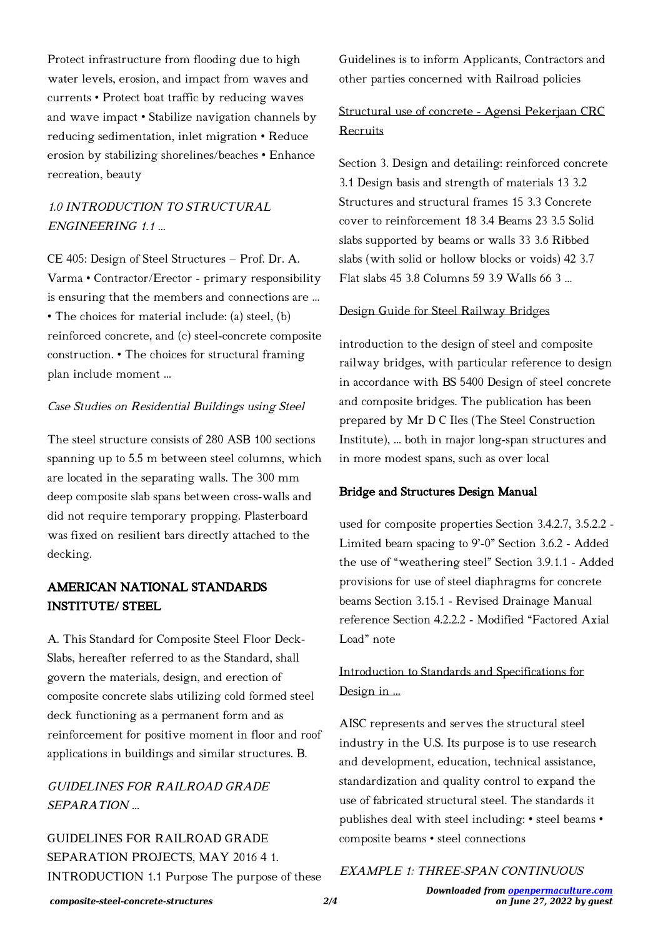Protect infrastructure from flooding due to high water levels, erosion, and impact from waves and currents • Protect boat traffic by reducing waves and wave impact • Stabilize navigation channels by reducing sedimentation, inlet migration • Reduce erosion by stabilizing shorelines/beaches • Enhance recreation, beauty

# 1.0 INTRODUCTION TO STRUCTURAL ENGINEERING 1.1 …

CE 405: Design of Steel Structures – Prof. Dr. A. Varma • Contractor/Erector - primary responsibility is ensuring that the members and connections are ... • The choices for material include: (a) steel, (b) reinforced concrete, and (c) steel-concrete composite construction. • The choices for structural framing plan include moment ...

### Case Studies on Residential Buildings using Steel

The steel structure consists of 280 ASB 100 sections spanning up to 5.5 m between steel columns, which are located in the separating walls. The 300 mm deep composite slab spans between cross-walls and did not require temporary propping. Plasterboard was fixed on resilient bars directly attached to the decking.

# AMERICAN NATIONAL STANDARDS INSTITUTE/ STEEL

A. This Standard for Composite Steel Floor Deck-Slabs, hereafter referred to as the Standard, shall govern the materials, design, and erection of composite concrete slabs utilizing cold formed steel deck functioning as a permanent form and as reinforcement for positive moment in floor and roof applications in buildings and similar structures. B.

# GUIDELINES FOR RAILROAD GRADE SEPARATION …

GUIDELINES FOR RAILROAD GRADE SEPARATION PROJECTS, MAY 2016 4 1. INTRODUCTION 1.1 Purpose The purpose of these Guidelines is to inform Applicants, Contractors and other parties concerned with Railroad policies

# Structural use of concrete - Agensi Pekerjaan CRC Recruits

Section 3. Design and detailing: reinforced concrete 3.1 Design basis and strength of materials 13 3.2 Structures and structural frames 15 3.3 Concrete cover to reinforcement 18 3.4 Beams 23 3.5 Solid slabs supported by beams or walls 33 3.6 Ribbed slabs (with solid or hollow blocks or voids) 42 3.7 Flat slabs 45 3.8 Columns 59 3.9 Walls 66 3 ...

### Design Guide for Steel Railway Bridges

introduction to the design of steel and composite railway bridges, with particular reference to design in accordance with BS 5400 Design of steel concrete and composite bridges. The publication has been prepared by Mr D C Iles (The Steel Construction Institute), ... both in major long-span structures and in more modest spans, such as over local

### Bridge and Structures Design Manual

used for composite properties Section 3.4.2.7, 3.5.2.2 - Limited beam spacing to 9'-0" Section 3.6.2 - Added the use of "weathering steel" Section 3.9.1.1 - Added provisions for use of steel diaphragms for concrete beams Section 3.15.1 - Revised Drainage Manual reference Section 4.2.2.2 - Modified "Factored Axial Load" note

# Introduction to Standards and Specifications for Design in …

AISC represents and serves the structural steel industry in the U.S. Its purpose is to use research and development, education, technical assistance, standardization and quality control to expand the use of fabricated structural steel. The standards it publishes deal with steel including: • steel beams • composite beams • steel connections

### EXAMPLE 1: THREE-SPAN CONTINUOUS

*composite-steel-concrete-structures 2/4*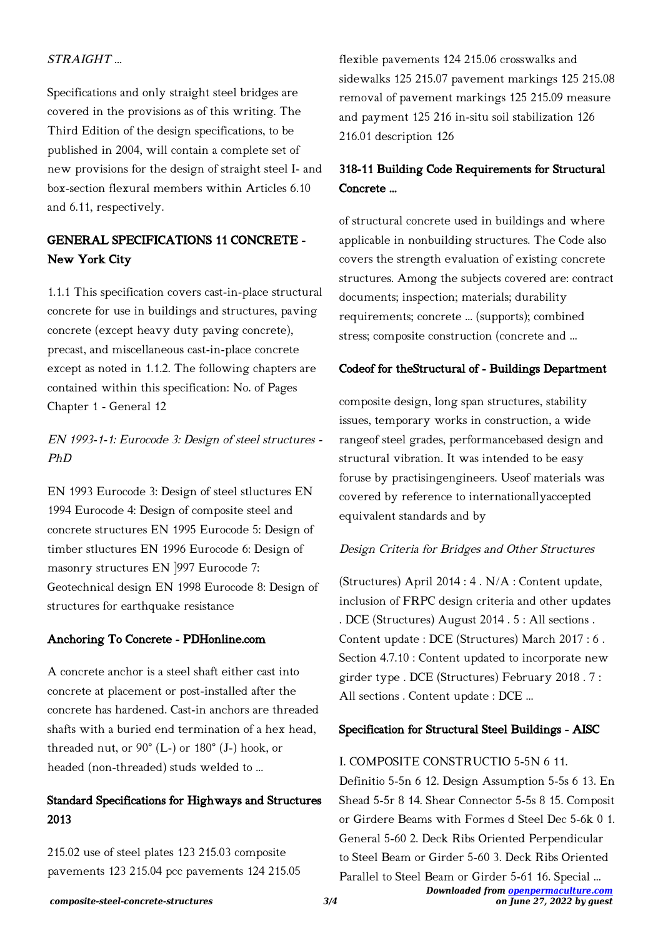### STRAIGHT …

Specifications and only straight steel bridges are covered in the provisions as of this writing. The Third Edition of the design specifications, to be published in 2004, will contain a complete set of new provisions for the design of straight steel I- and box-section flexural members within Articles 6.10 and 6.11, respectively.

# GENERAL SPECIFICATIONS 11 CONCRETE - New York City

1.1.1 This specification covers cast-in-place structural concrete for use in buildings and structures, paving concrete (except heavy duty paving concrete), precast, and miscellaneous cast-in-place concrete except as noted in 1.1.2. The following chapters are contained within this specification: No. of Pages Chapter 1 - General 12

# EN 1993-1-1: Eurocode 3: Design of steel structures - PhD

EN 1993 Eurocode 3: Design of steel stluctures EN 1994 Eurocode 4: Design of composite steel and concrete structures EN 1995 Eurocode 5: Design of timber stluctures EN 1996 Eurocode 6: Design of masonry structures EN ]997 Eurocode 7: Geotechnical design EN 1998 Eurocode 8: Design of structures for earthquake resistance

### Anchoring To Concrete - PDHonline.com

A concrete anchor is a steel shaft either cast into concrete at placement or post-installed after the concrete has hardened. Cast-in anchors are threaded shafts with a buried end termination of a hex head, threaded nut, or 90° (L-) or 180° (J-) hook, or headed (non-threaded) studs welded to …

### Standard Specifications for Highways and Structures 2013

215.02 use of steel plates 123 215.03 composite pavements 123 215.04 pcc pavements 124 215.05 flexible pavements 124 215.06 crosswalks and sidewalks 125 215.07 pavement markings 125 215.08 removal of pavement markings 125 215.09 measure and payment 125 216 in-situ soil stabilization 126 216.01 description 126

# 318-11 Building Code Requirements for Structural Concrete …

of structural concrete used in buildings and where applicable in nonbuilding structures. The Code also covers the strength evaluation of existing concrete structures. Among the subjects covered are: contract documents; inspection; materials; durability requirements; concrete ... (supports); combined stress; composite construction (concrete and ...

### Codeof for theStructural of - Buildings Department

composite design, long span structures, stability issues, temporary works in construction, a wide rangeof steel grades, performancebased design and structural vibration. It was intended to be easy foruse by practisingengineers. Useof materials was covered by reference to internationallyaccepted equivalent standards and by

### Design Criteria for Bridges and Other Structures

(Structures) April 2014 : 4 . N/A : Content update, inclusion of FRPC design criteria and other updates . DCE (Structures) August 2014 . 5 : All sections . Content update : DCE (Structures) March 2017 : 6 . Section 4.7.10 : Content updated to incorporate new girder type . DCE (Structures) February 2018 . 7 : All sections . Content update : DCE ...

### Specification for Structural Steel Buildings - AISC

### I. COMPOSITE CONSTRUCTIO 5-5N 6 11.

Definitio 5-5n 6 12. Design Assumption 5-5s 6 13. En Shead 5-5r 8 14. Shear Connector 5-5s 8 15. Composit or Girdere Beams with Formes d Steel Dec 5-6k 0 1. General 5-60 2. Deck Ribs Oriented Perpendicular to Steel Beam or Girder 5-60 3. Deck Ribs Oriented

*Downloaded from [openpermaculture.com](http://openpermaculture.com) on June 27, 2022 by guest* Parallel to Steel Beam or Girder 5-61 16. Special ...